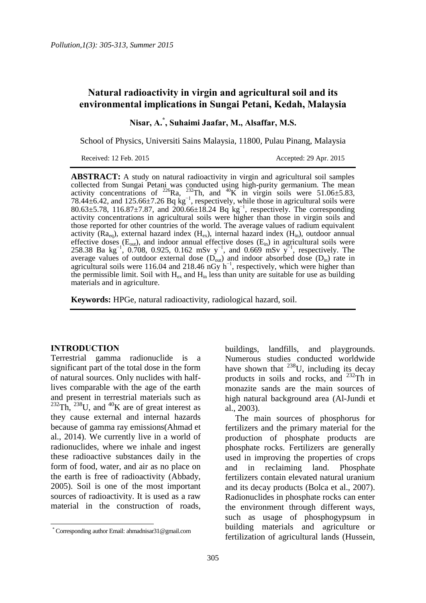# **Natural radioactivity in virgin and agricultural soil and its environmental implications in Sungai Petani, Kedah, Malaysia**

**Nisar, A. \* , Suhaimi Jaafar, M., Alsaffar, M.S.**

School of Physics, Universiti Sains Malaysia, 11800, Pulau Pinang, Malaysia

Received: 12 Feb. 2015 Accepted: 29 Apr. 2015

**ABSTRACT:** A study on natural radioactivity in virgin and agricultural soil samples collected from Sungai Petani was conducted using high-purity germanium. The mean activity concentrations of <sup>226</sup>Ra, <sup>232</sup>Th, and <sup>40</sup>K in virgin soils were 51.06±5.83, 78.44 $\pm$ 6.42, and 125.66 $\pm$ 7.26 Bq kg<sup>-1</sup>, respectively, while those in agricultural soils were 80.63±5.78, 116.87±7.87, and 200.66±18.24 Bq kg<sup>-1</sup>, respectively. The corresponding activity concentrations in agricultural soils were higher than those in virgin soils and those reported for other countries of the world. The average values of radium equivalent activity ( $Ra_{eq}$ ), external hazard index ( $H_{ex}$ ), internal hazard index ( $H_{in}$ ), outdoor annual effective doses  $(E_{out})$ , and indoor annual effective doses  $(E_{in})$  in agricultural soils were 258.38 Ba kg<sup>-1</sup>, 0.708, 0.925, 0.162 mSv y<sup>-1</sup>, and 0.669 mSv y<sup>-1</sup>, respectively. The average values of outdoor external dose  $(D_{out})$  and indoor absorbed dose  $(D_{in})$  rate in agricultural soils were 116.04 and 218.46  $n\overrightarrow{Gy} h^{-1}$ , respectively, which were higher than the permissible limit. Soil with  $H_{ex}$  and  $H_{in}$  less than unity are suitable for use as building materials and in agriculture.

**Keywords:** HPGe, natural radioactivity, radiological hazard, soil.

#### **INTRODUCTION**

 $\overline{a}$ 

Terrestrial gamma radionuclide is a significant part of the total dose in the form of natural sources. Only nuclides with halflives comparable with the age of the earth and present in terrestrial materials such as  $^{232}$ Th,  $^{238}$ U, and  $^{40}$ K are of great interest as they cause external and internal hazards because of gamma ray emissions[\(Ahmad et](#page-7-0)  [al., 2014\)](#page-7-0). We currently live in a world of radionuclides, where we inhale and ingest these radioactive substances daily in the form of food, water, and air as no place on the earth is free of radioactivity [\(Abbady,](#page-7-1)  [2005\)](#page-7-1). Soil is one of the most important sources of radioactivity. It is used as a raw material in the construction of roads, buildings, landfills, and playgrounds. Numerous studies conducted worldwide have shown that  $^{238}$ U, including its decay products in soils and rocks, and  $^{232}$ Th in monazite sands are the main sources of high natural background area [\(Al-Jundi et](#page-7-2)  [al., 2003\)](#page-7-2).

The main sources of phosphorus for fertilizers and the primary material for the production of phosphate products are phosphate rocks. Fertilizers are generally used in improving the properties of crops and in reclaiming land. Phosphate fertilizers contain elevated natural uranium and its decay products [\(Bolca et al., 2007\)](#page-7-3). Radionuclides in phosphate rocks can enter the environment through different ways, such as usage of phosphogypsum in building materials and agriculture or fertilization of agricultural lands [\(Hussein,](#page-7-4) 

 <sup>\*</sup> Corresponding author Email: ahmadnisar31@gmail.com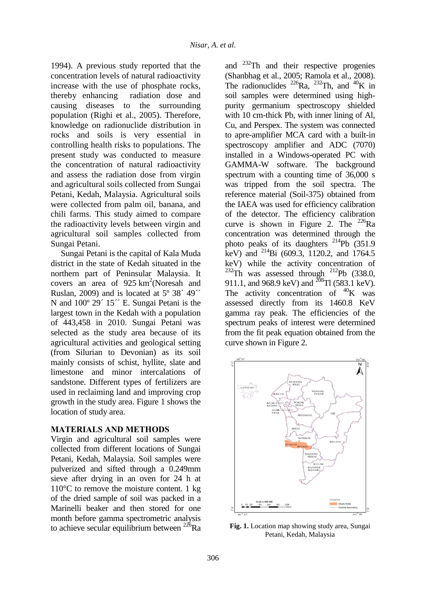[1994\)](#page-7-4). A previous study reported that the concentration levels of natural radioactivity increase with the use of phosphate rocks, thereby enhancing radiation dose and causing diseases to the surrounding population [\(Righi et al., 2005\)](#page-7-5). Therefore, knowledge on radionuclide distribution in rocks and soils is very essential in controlling health risks to populations. The present study was conducted to measure the concentration of natural radioactivity and assess the radiation dose from virgin and agricultural soils collected from Sungai Petani, Kedah, Malaysia. Agricultural soils were collected from palm oil, banana, and chili farms. This study aimed to compare the radioactivity levels between virgin and agricultural soil samples collected from Sungai Petani.

Sungai Petani is the capital of Kala Muda district in the state of Kedah situated in the northern part of Peninsular Malaysia. It covers an area of  $925 \text{ km}^2$ (Noresah and [Ruslan, 2009\)](#page-7-6) and is located at  $5^{\circ}$  38<sup> $\prime$ </sup> 49<sup> $\prime\prime$ </sup> N and  $100^{\circ}$  29<sup> $\prime$ </sup> 15<sup> $\prime\prime$ </sup> E. Sungai Petani is the largest town in the Kedah with a population of 443,458 in 2010. Sungai Petani was selected as the study area because of its agricultural activities and geological setting (from Silurian to Devonian) as its soil mainly consists of schist, hyllite, slate and limestone and minor intercalations of sandstone. Different types of fertilizers are used in reclaiming land and improving crop growth in the study area. Figure 1 shows the location of study area.

## **MATERIALS AND METHODS**

Virgin and agricultural soil samples were collected from different locations of Sungai Petani, Kedah, Malaysia. Soil samples were pulverized and sifted through a 0.249mm sieve after drying in an oven for 24 h at  $110^{\circ}$ C to remove the moisture content. 1 kg of the dried sample of soil was packed in a Marinelli beaker and then stored for one month before gamma spectrometric analysis to achieve secular equilibrium between  $^{226}$ Ra and  $^{232}$ Th and their respective progenies [\(Shanbhag et al., 2005;](#page-7-7) [Ramola et al., 2008\)](#page-7-8). The radionuclides  $^{226}$ Ra,  $^{232}$ Th, and  $^{40}$ K in soil samples were determined using highpurity germanium spectroscopy shielded with 10 cm-thick Pb, with inner lining of Al, Cu, and Perspex. The system was connected to apre-amplifier MCA card with a built-in spectroscopy amplifier and ADC (7070) installed in a Windows-operated PC with GAMMA-W software. The background spectrum with a counting time of 36,000 s was tripped from the soil spectra. The reference material (Soil-375) obtained from the IAEA was used for efficiency calibration of the detector. The efficiency calibration curve is shown in Figure 2. The  $^{226}Ra$ concentration was determined through the photo peaks of its daughters <sup>214</sup>Pb (351.9) keV) and <sup>214</sup>Bi (609.3, 1120.2, and 1764.5 keV) while the activity concentration of  $^{232}$ Th was assessed through  $^{212}$ Pb (338.0, 911.1, and 968.9 keV) and  $^{208}$ Tl (583.1 keV). The activity concentration of  $^{40}$ K was assessed directly from its 1460.8 KeV gamma ray peak. The efficiencies of the spectrum peaks of interest were determined from the fit peak equation obtained from the curve shown in Figure 2.



**Fig. 1.** Location map showing study area, Sungai Petani, Kedah, Malaysia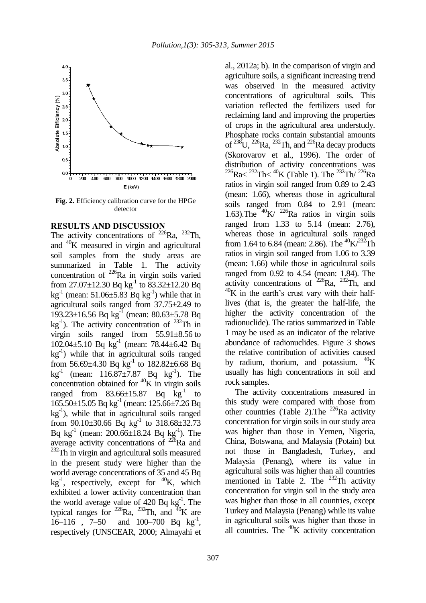

**Fig. 2.** Efficiency calibration curve for the HPGe detector

## **RESULTS AND DISCUSSION**

The activity concentrations of  $^{226}$ Ra,  $^{232}$ Th, and <sup>40</sup>K measured in virgin and agricultural soil samples from the study areas are summarized in Table 1. The activity concentration of  $^{226}$ Ra in virgin soils varied from 27.07 $\pm$ 12.30 Bq kg<sup>-1</sup> to 83.32 $\pm$ 12.20 Bq  $kg^{-1}$  (mean: 51.06±5.83 Bq kg<sup>-1</sup>) while that in agricultural soils ranged from 37.75±2.49 to 193.23±16.56 Bq kg<sup>-1</sup> (mean: 80.63±5.78 Bq  $kg^{-1}$ ). The activity concentration of <sup>232</sup>Th in virgin soils ranged from 55.91±8.56 to 102.04±5.10 Bq kg-1 (mean: 78.44±6.42 Bq kg-1 ) while that in agricultural soils ranged from 56.69 $\pm$ 4.30 Bq kg<sup>-1</sup> to 182.82 $\pm$ 6.68 Bq  $kg^{-1}$  (mean: 116.87 $\pm$ 7.87 Bq kg<sup>-1</sup>). The concentration obtained for  ${}^{40}$ K in virgin soils ranged from  $83.66 \pm 15.87$  Bq  $\text{kg}^{-1}$  to 165.50±15.05 Bq kg-1 (mean: 125.66±7.26 Bq kg-1 ), while that in agricultural soils ranged from  $90.10\pm30.66$  Bq kg<sup>-1</sup> to  $318.68\pm32.73$ Bq  $kg^{-1}$  (mean: 200.66 $\pm$ 18.24 Bq  $kg^{-1}$ ). The average activity concentrations of  $^{226}$ Ra and <sup>232</sup>Th in virgin and agricultural soils measured in the present study were higher than the world average concentrations of 35 and 45 Bq  $kg^{-1}$ , respectively, except for  $^{40}K$ , which exhibited a lower activity concentration than the world average value of  $420$  Bq kg<sup>-1</sup>. The typical ranges for  $^{226}$ Ra,  $^{232}$ Th, and  $^{40}$ K are  $16-116$ ,  $7-50$  and  $100-700$  Bq kg<sup>-1</sup>, respectively [\(UNSCEAR, 2000;](#page-7-9) [Almayahi et](#page-7-10) 

[al., 2012a;](#page-7-10) b). In the comparison of virgin and agriculture soils, a significant increasing trend was observed in the measured activity concentrations of agricultural soils. This variation reflected the fertilizers used for reclaiming land and improving the properties of crops in the agricultural area understudy. Phosphate rocks contain substantial amounts of  $^{238}$ U,  $^{226}$ Ra,  $^{232}$ Th, and  $^{226}$ Ra decay products [\(Skorovarov et al., 1996\)](#page-7-11). The order of distribution of activity concentrations was  $^{226}$ Ra $<$   $^{232}$ Th $<$   $^{40}$ K (Table 1). The  $^{232}$ Th $/$   $^{226}$ Ra ratios in virgin soil ranged from 0.89 to 2.43 (mean: 1.66), whereas those in agricultural soils ranged from 0.84 to 2.91 (mean: 1.63).The  $40K/226Ra$  ratios in virgin soils ranged from 1.33 to 5.14 (mean: 2.76), whereas those in agricultural soils ranged from 1.64 to 6.84 (mean: 2.86). The  $\frac{40}{K}$ /<sup>232</sup>Th ratios in virgin soil ranged from 1.06 to 3.39 (mean: 1.66) while those in agricultural soils ranged from 0.92 to 4.54 (mean: 1.84). The activity concentrations of  $^{226}$ Ra,  $^{232}$ Th, and  $^{40}$ K in the earth's crust vary with their halflives (that is, the greater the half-life, the higher the activity concentration of the radionuclide). The ratios summarized in Table 1 may be used as an indicator of the relative abundance of radionuclides. Figure 3 shows the relative contribution of activities caused by radium, thorium, and potassium.  $40K$ usually has high concentrations in soil and rock samples.

The activity concentrations measured in this study were compared with those from other countries (Table 2). The <sup>226</sup>Ra activity concentration for virgin soils in our study area was higher than those in Yemen, Nigeria, China, Botswana, and Malaysia (Potain) but not those in Bangladesh, Turkey, and Malaysia (Penang), where its value in agricultural soils was higher than all countries mentioned in Table 2. The  $^{232}$ Th activity concentration for virgin soil in the study area was higher than those in all countries, except Turkey and Malaysia (Penang) while its value in agricultural soils was higher than those in all countries. The  ${}^{40}$ K activity concentration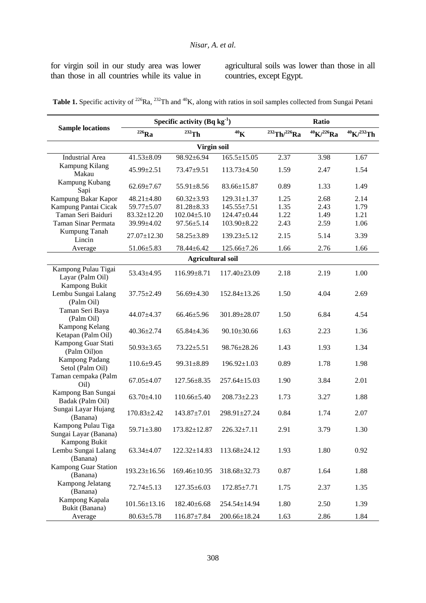for virgin soil in our study area was lower than those in all countries while its value in agricultural soils was lower than those in all countries, except Egypt.

|  | <b>Table 1.</b> Specific activity of <sup>226</sup> Ra, <sup>232</sup> Th and <sup>40</sup> K, along with ratios in soil samples collected from Sungai Petani |  |  |
|--|---------------------------------------------------------------------------------------------------------------------------------------------------------------|--|--|
|--|---------------------------------------------------------------------------------------------------------------------------------------------------------------|--|--|

|                                                    |                    | Specific activity $(Bq kg^{-1})$ | <b>Ratio</b>       |                          |                        |                        |  |  |
|----------------------------------------------------|--------------------|----------------------------------|--------------------|--------------------------|------------------------|------------------------|--|--|
| <b>Sample locations</b>                            | $226$ Ra           | $232$ Th                         | 40 <sub>K</sub>    | $^{232}$ Th/ $^{226}$ Ra | $^{40}$ K $/^{226}$ Ra | $^{40}$ K $/^{232}$ Th |  |  |
| Virgin soil                                        |                    |                                  |                    |                          |                        |                        |  |  |
| <b>Industrial Area</b>                             | $41.53 \pm 8.09$   | 98.92±6.94                       | $165.5 \pm 15.05$  | 2.37                     | 3.98                   | 1.67                   |  |  |
| <b>Kampung Kilang</b><br>Makau                     | 45.99±2.51         | $73.47 + 9.51$                   | 113.73±4.50        | 1.59                     | 2.47                   | 1.54                   |  |  |
| Kampung Kubang<br>Sapi                             | $62.69 \pm 7.67$   | 55.91±8.56                       | $83.66 \pm 15.87$  | 0.89                     | 1.33                   | 1.49                   |  |  |
| Kampung Bakar Kapor                                | $48.21 \pm 4.80$   | $60.32 \pm 3.93$                 | $129.31 \pm 1.37$  | 1.25                     | 2.68                   | 2.14                   |  |  |
| Kampung Pantai Cicak                               | 59.77±5.07         | $81.28 \pm 8.33$                 | $145.55 \pm 7.51$  | 1.35                     | 2.43                   | 1.79                   |  |  |
| Taman Seri Baiduri                                 | $83.32 \pm 12.20$  | $102.04 \pm 5.10$                | 124.47±0.44        | 1.22                     | 1.49                   | 1.21                   |  |  |
| Taman Sinar Permata                                | 39.99±4.02         | $97.56 \pm 5.14$                 | $103.90 \pm 8.22$  | 2.43                     | 2.59                   | 1.06                   |  |  |
| Kumpung Tanah<br>Lincin                            | 27.07±12.30        | 58.25±3.89                       | 139.23±5.12        | 2.15                     | 5.14                   | 3.39                   |  |  |
| Average                                            | $51.06 \pm 5.83$   | $78.44 \pm 6.42$                 | 125.66±7.26        | 1.66                     | 2.76                   | 1.66                   |  |  |
|                                                    |                    | <b>Agricultural soil</b>         |                    |                          |                        |                        |  |  |
| Kampong Pulau Tigai<br>Layar (Palm Oil)            | $53.43 \pm 4.95$   | 116.99±8.71                      | 117.40±23.09       | 2.18                     | 2.19                   | 1.00                   |  |  |
| Kampong Bukit<br>Lembu Sungai Lalang<br>(Palm Oil) | $37.75 \pm 2.49$   | $56.69 \pm 4.30$                 | $152.84 \pm 13.26$ | 1.50                     | 4.04                   | 2.69                   |  |  |
| Taman Seri Baya<br>(Palm Oil)                      | $44.07 \pm 4.37$   | $66.46 \pm 5.96$                 | 301.89±28.07       | 1.50                     | 6.84                   | 4.54                   |  |  |
| Kampong Kelang<br>Ketapan (Palm Oil)               | $40.36 \pm 2.74$   | $65.84 \pm 4.36$                 | $90.10 \pm 30.66$  | 1.63                     | 2.23                   | 1.36                   |  |  |
| Kampong Guar Stati<br>(Palm Oil)on                 | $50.93 \pm 3.65$   | $73.22 \pm 5.51$                 | 98.76±28.26        | 1.43                     | 1.93                   | 1.34                   |  |  |
| <b>Kampong Padang</b><br>Setol (Palm Oil)          | $110.6 \pm 9.45$   | 99.31±8.89                       | $196.92 \pm 1.03$  | 0.89                     | 1.78                   | 1.98                   |  |  |
| Taman cempaka (Palm<br>Oil                         | $67.05 \pm 4.07$   | $127.56 \pm 8.35$                | $257.64 \pm 15.03$ | 1.90                     | 3.84                   | 2.01                   |  |  |
| Kampong Ban Sungai<br>Badak (Palm Oil)             | $63.70 \pm 4.10$   | $110.66 \pm 5.40$                | $208.73 \pm 2.23$  | 1.73                     | 3.27                   | 1.88                   |  |  |
| Sungai Layar Hujang<br>(Banana)                    | $170.83 \pm 2.42$  | $143.87 \pm 7.01$                | 298.91±27.24       | 0.84                     | 1.74                   | 2.07                   |  |  |
| Kampong Pulau Tiga<br>Sungai Layar (Banana)        | $59.71 \pm 3.80$   | $173.82 \pm 12.87$               | $226.32 + 7.11$    | 2.91                     | 3.79                   | 1.30                   |  |  |
| Kampong Bukit<br>Lembu Sungai Lalang<br>(Banana)   | 63.34±4.07         | $122.32 \pm 14.83$               | 113.68±24.12       | 1.93                     | 1.80                   | 0.92                   |  |  |
| <b>Kampong Guar Station</b><br>(Banana)            | $193.23 \pm 16.56$ | 169.46±10.95                     | 318.68±32.73       | 0.87                     | 1.64                   | 1.88                   |  |  |
| Kampong Jelatang<br>(Banana)                       | $72.74 \pm 5.13$   | $127.35 \pm 6.03$                | $172.85 \pm 7.71$  | 1.75                     | 2.37                   | 1.35                   |  |  |
| Kampong Kapala<br>Bukit (Banana)                   | $101.56 \pm 13.16$ | 182.40±6.68                      | 254.54±14.94       | 1.80                     | 2.50                   | 1.39                   |  |  |
| Average                                            | $80.63 \pm 5.78$   | $116.87 \pm 7.84$                | $200.66 \pm 18.24$ | 1.63                     | 2.86                   | 1.84                   |  |  |

308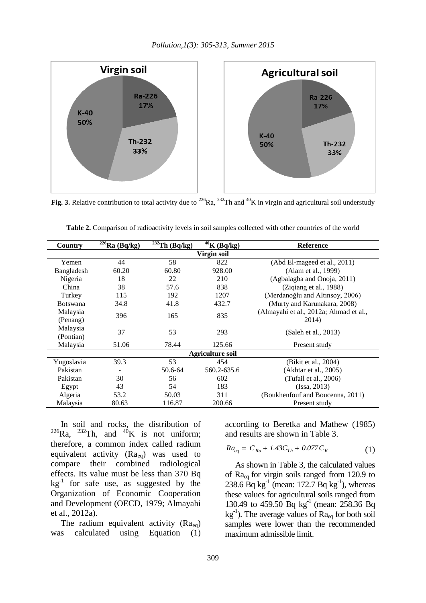

**Fig. 3.** Relative contribution to total activity due to <sup>226</sup>Ra, <sup>232</sup>Th and <sup>40</sup>K in virgin and agricultural soil understudy

| Country                 | $\sqrt[226]{Ra}$ (Bq/kg) | $\overline{^{232}Th}$ (Bq/kg) | $40\overline{\text{K}}$ (Bg/kg) | <b>Reference</b>                       |  |  |  |
|-------------------------|--------------------------|-------------------------------|---------------------------------|----------------------------------------|--|--|--|
| Virgin soil             |                          |                               |                                 |                                        |  |  |  |
| Yemen                   | 44                       | 58                            | 822                             | (Abd El-mageed et al., 2011)           |  |  |  |
| Bangladesh              | 60.20                    | 60.80                         | 928.00                          | (Alam et al., 1999)                    |  |  |  |
| Nigeria                 | 18                       | 22                            | 210                             | (Agbalagba and Onoja, 2011)            |  |  |  |
| China                   | 38                       | 57.6                          | 838                             | (Ziqiang et al., 1988)                 |  |  |  |
| Turkey                  | 115                      | 192                           | 1207                            | (Merdanoğlu and Altınsoy, 2006)        |  |  |  |
| <b>Botswana</b>         | 34.8                     | 41.8                          | 432.7                           | (Murty and Karunakara, 2008)           |  |  |  |
| Malaysia                | 396                      | 165                           | 835                             | (Almayahi et al., 2012a; Ahmad et al., |  |  |  |
| (Penang)                |                          |                               |                                 | 2014)                                  |  |  |  |
| Malaysia                | 37                       | 53                            | 293                             |                                        |  |  |  |
| (Pontian)               |                          |                               |                                 | (Saleh et al., 2013)                   |  |  |  |
| Malaysia                | 51.06                    | 78.44                         | 125.66                          | Present study                          |  |  |  |
| <b>Agriculture soil</b> |                          |                               |                                 |                                        |  |  |  |
| Yugoslavia              | 39.3                     | 53                            | 454                             | (Bikit et al., 2004)                   |  |  |  |
| Pakistan                |                          | 50.6-64                       | 560.2-635.6                     | (Akhtar et al., 2005)                  |  |  |  |
| Pakistan                | 30                       | 56                            | 602                             | (Tufail et al., 2006)                  |  |  |  |
| Egypt                   | 43                       | 54                            | 183                             | (Issa, 2013)                           |  |  |  |
| Algeria                 | 53.2                     | 50.03                         | 311                             | (Boukhenfouf and Boucenna, 2011)       |  |  |  |
| Malaysia                | 80.63                    | 116.87                        | 200.66                          | Present study                          |  |  |  |

**Table 2.** Comparison of radioactivity levels in soil samples collected with other countries of the world

In soil and rocks, the distribution of  $^{226}$ Ra,  $^{232}$ Th, and  $^{40}$ K is not uniform; therefore, a common index called radium equivalent activity (Raeq) was used to compare their combined radiological effects. Its value must be less than 370 Bq  $kg^{-1}$  for safe use, as suggested by the Organization of Economic Cooperation and Development [\(OECD, 1979;](#page-7-15) [Almayahi](#page-7-13)  [et al., 2012a\)](#page-7-13).

The radium equivalent activity  $(Ra_{eq})$ was calculated using Equation (1) according to [Beretka and Mathew \(1985\)](#page-7-17) and results are shown in Table 3.

$$
Ra_{eq} = C_{Ra} + 1.43C_{Th} + 0.077C_{K}
$$
 (1)

As shown in Table 3, the calculated values of  $Ra_{eq}$  for virgin soils ranged from 120.9 to 238.6 Bq kg<sup>-1</sup> (mean: 172.7 Bq kg<sup>-1</sup>), whereas these values for agricultural soils ranged from 130.49 to 459.50 Bq kg<sup>-1</sup> (mean: 258.36 Bq  $kg^{-1}$ ). The average values of  $Ra_{eq}$  for both soil samples were lower than the recommended maximum admissible limit.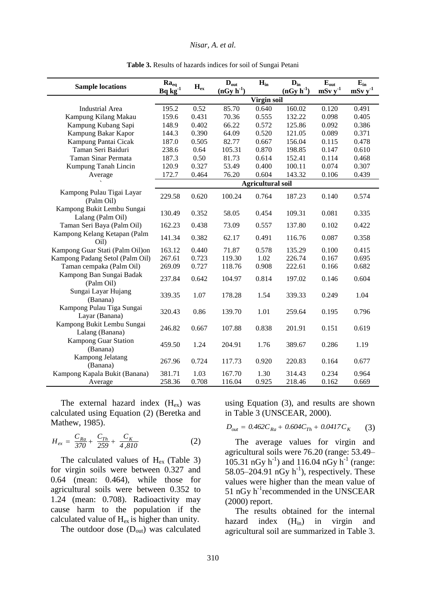#### *Nisar, A. et al.*

| <b>Sample locations</b>                         | $Ra_{eq}$<br>$\underline{Bq}$ $\overline{kg}^{-1}$ | $H_{ex}$ | $D_{\text{out}}$<br>$(nGy h-1)$ | $H_{in}$                 | $D_{in}$<br>$(nGy h-1)$ | $E_{\text{out}}$<br>mSv y <sup>1</sup> | $E_{in}$<br>$\mathbf{mSv} y^1$ |
|-------------------------------------------------|----------------------------------------------------|----------|---------------------------------|--------------------------|-------------------------|----------------------------------------|--------------------------------|
|                                                 | Virgin soil                                        |          |                                 |                          |                         |                                        |                                |
| <b>Industrial Area</b>                          | 195.2                                              | 0.52     | 85.70                           | 0.640                    | 160.02                  | 0.120                                  | 0.491                          |
| Kampung Kilang Makau                            | 159.6                                              | 0.431    | 70.36                           | 0.555                    | 132.22                  | 0.098                                  | 0.405                          |
| Kampung Kubang Sapi                             | 148.9                                              | 0.402    | 66.22                           | 0.572                    | 125.86                  | 0.092                                  | 0.386                          |
| Kampung Bakar Kapor                             | 144.3                                              | 0.390    | 64.09                           | 0.520                    | 121.05                  | 0.089                                  | 0.371                          |
| Kampung Pantai Cicak                            | 187.0                                              | 0.505    | 82.77                           | 0.667                    | 156.04                  | 0.115                                  | 0.478                          |
| Taman Seri Baiduri                              | 238.6                                              | 0.64     | 105.31                          | 0.870                    | 198.85                  | 0.147                                  | 0.610                          |
| Taman Sinar Permata                             | 187.3                                              | 0.50     | 81.73                           | 0.614                    | 152.41                  | 0.114                                  | 0.468                          |
| Kumpung Tanah Lincin                            | 120.9                                              | 0.327    | 53.49                           | 0.400                    | 100.11                  | 0.074                                  | 0.307                          |
| Average                                         | 172.7                                              | 0.464    | 76.20                           | 0.604                    | 143.32                  | 0.106                                  | 0.439                          |
|                                                 |                                                    |          |                                 | <b>Agricultural soil</b> |                         |                                        |                                |
| Kampong Pulau Tigai Layar<br>(Palm Oil)         | 229.58                                             | 0.620    | 100.24                          | 0.764                    | 187.23                  | 0.140                                  | 0.574                          |
| Kampong Bukit Lembu Sungai<br>Lalang (Palm Oil) | 130.49                                             | 0.352    | 58.05                           | 0.454                    | 109.31                  | 0.081                                  | 0.335                          |
| Taman Seri Baya (Palm Oil)                      | 162.23                                             | 0.438    | 73.09                           | 0.557                    | 137.80                  | 0.102                                  | 0.422                          |
| Kampong Kelang Ketapan (Palm<br>Oil)            | 141.34                                             | 0.382    | 62.17                           | 0.491                    | 116.76                  | 0.087                                  | 0.358                          |
| Kampong Guar Stati (Palm Oil)on                 | 163.12                                             | 0.440    | 71.87                           | 0.578                    | 135.29                  | 0.100                                  | 0.415                          |
| Kampong Padang Setol (Palm Oil)                 | 267.61                                             | 0.723    | 119.30                          | 1.02                     | 226.74                  | 0.167                                  | 0.695                          |
| Taman cempaka (Palm Oil)                        | 269.09                                             | 0.727    | 118.76                          | 0.908                    | 222.61                  | 0.166                                  | 0.682                          |
| Kampong Ban Sungai Badak<br>(Palm Oil)          | 237.84                                             | 0.642    | 104.97                          | 0.814                    | 197.02                  | 0.146                                  | 0.604                          |
| Sungai Layar Hujang<br>(Banana)                 | 339.35                                             | 1.07     | 178.28                          | 1.54                     | 339.33                  | 0.249                                  | 1.04                           |
| Kampong Pulau Tiga Sungai<br>Layar (Banana)     | 320.43                                             | 0.86     | 139.70                          | 1.01                     | 259.64                  | 0.195                                  | 0.796                          |
| Kampong Bukit Lembu Sungai<br>Lalang (Banana)   | 246.82                                             | 0.667    | 107.88                          | 0.838                    | 201.91                  | 0.151                                  | 0.619                          |
| <b>Kampong Guar Station</b><br>(Banana)         | 459.50                                             | 1.24     | 204.91                          | 1.76                     | 389.67                  | 0.286                                  | 1.19                           |
| Kampong Jelatang<br>(Banana)                    | 267.96                                             | 0.724    | 117.73                          | 0.920                    | 220.83                  | 0.164                                  | 0.677                          |
| Kampong Kapala Bukit (Banana)                   | 381.71                                             | 1.03     | 167.70                          | 1.30                     | 314.43                  | 0.234                                  | 0.964                          |
| Average                                         | 258.36                                             | 0.708    | 116.04                          | 0.925                    | 218.46                  | 0.162                                  | 0.669                          |

**Table 3.** Results of hazards indices for soil of Sungai Petani

The external hazard index  $(H_{ex})$  was calculated using Equation (2) [\(Beretka and](#page-7-17)  [Mathew, 1985\)](#page-7-17).

$$
H_{ex} = \frac{C_{Ra}}{370} + \frac{C_{Th}}{259} + \frac{C_K}{4,810}
$$
 (2)

The calculated values of  $H_{ex}$  (Table 3) for virgin soils were between 0.327 and 0.64 (mean: 0.464), while those for agricultural soils were between 0.352 to 1.24 (mean: 0.708). Radioactivity may cause harm to the population if the calculated value of  $H_{ex}$  is higher than unity.

The outdoor dose  $(D_{out})$  was calculated

using Equation (3), and results are shown

in Table 3 (UNSCEAR, 2000).  
\n
$$
D_{out} = 0.462C_{Ra} + 0.604C_{Th} + 0.0417C_{K}
$$
\n(3)

The average values for virgin and agricultural soils were 76.20 (range: 53.49– 105.31 nGy  $h^{-1}$ ) and 116.04 nGy  $h^{-1}$  (range: 58.05–204.91 nGy  $h^{-1}$ ), respectively. These values were higher than the mean value of 51 nGy h<sup>-1</sup>recommended in the UNSCEAR (2000) report.

The results obtained for the internal hazard index  $(H_{in})$  in virgin and agricultural soil are summarized in Table 3.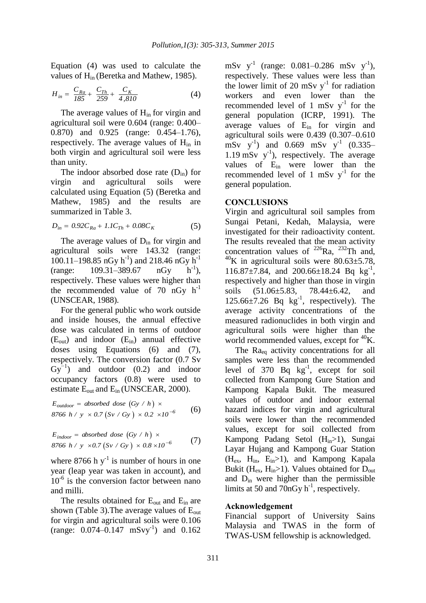Equation (4) was used to calculate the values of Hin [\(Beretka and Mathew, 1985\)](#page-7-17).

$$
H_{in} = \frac{C_{Ra}}{185} + \frac{C_{Th}}{259} + \frac{C_K}{4,810}
$$
 (4)

The average values of  $H_{in}$  for virgin and agricultural soil were 0.604 (range: 0.400– 0.870) and 0.925 (range: 0.454–1.76), respectively. The average values of  $H_{in}$  in both virgin and agricultural soil were less than unity.

The indoor absorbed dose rate  $(D_{in})$  for virgin and agricultural soils were calculated using Equation (5) [\(Beretka and](#page-7-17)  [Mathew, 1985\)](#page-7-17) and the results are summarized in Table 3.

$$
D_{in} = 0.92C_{Ra} + 1.1C_{Th} + 0.08C_{K}
$$
 (5)

The average values of  $D_{in}$  for virgin and agricultural soils were 143.32 (range: 100.11–198.85 nGy  $h^{-1}$ ) and 218.46 nGy  $h^{-1}$ (range: 109.31–389.67 nGy)  $h^{-1}$ ), respectively. These values were higher than the recommended value of 70  $nGy$  h<sup>-1</sup> [\(UNSCEAR, 1988\)](#page-7-16).

For the general public who work outside and inside houses, the annual effective dose was calculated in terms of outdoor  $(E_{\text{out}})$  and indoor  $(E_{\text{in}})$  annual effective doses using Equations (6) and (7), respectively. The conversion factor (0.7 Sv  $Gy^{-1}$ ) and outdoor (0.2) and indoor occupancy factors (0.8) were used to estimate  $E_{\text{out}}$  and  $E_{\text{in}}$  [\(UNSCEAR, 2000\)](#page-7-9).

$$
E_{outdoor} = absorbed dose (Gy / h) \times
$$
  
8766 h / y \times 0.7 (Sv / Gy) \times 0.2 \times 10<sup>-6</sup> (6)

$$
E_{\text{indoor}} = \text{absorbed dose} \left( Gy / h \right) \times
$$
  
8766 h / y \times 0.7 (Sv / Gy) \times 0.8 \times 10<sup>-6</sup> (7)

where 8766 h  $y^{-1}$  is number of hours in one year (leap year was taken in account), and 10<sup>-6</sup> is the conversion factor between nano and milli.

The results obtained for  $E_{\text{out}}$  and  $E_{\text{in}}$  are shown (Table 3). The average values of  $E_{out}$ for virgin and agricultural soils were 0.106  $(range: 0.074-0.147 mSvy<sup>-1</sup>)$  and  $0.162$ 

mSv  $y^{-1}$  (range: 0.081–0.286 mSv  $y^{-1}$ ), respectively. These values were less than the lower limit of 20 mSv  $y^{-1}$  for radiation workers and even lower than the recommended level of 1 mSv  $y^{-1}$  for the general population [\(ICRP, 1991\)](#page-7-18). The average values of E<sub>in</sub> for virgin and agricultural soils were 0.439 (0.307–0.610 mSv  $y^{-1}$ ) and 0.669 mSv  $y^{-1}$  (0.335– 1.19 mSv  $y^{-1}$ ), respectively. The average values of E<sub>in</sub> were lower than the recommended level of 1 mSv  $y^{-1}$  for the general population.

### **CONCLUSIONS**

Virgin and agricultural soil samples from Sungai Petani, Kedah, Malaysia, were investigated for their radioactivity content. The results revealed that the mean activity concentration values of  $^{226}$ Ra,  $^{232}$ Th and,  $^{40}$ K in agricultural soils were 80.63 $\pm$ 5.78, 116.87±7.84, and 200.66±18.24 Bq kg<sup>-1</sup>, respectively and higher than those in virgin soils (51.06±5.83, 78.44±6.42, and  $125.66 \pm 7.26$  Bq  $\text{kg}^{-1}$ , respectively). The average activity concentrations of the measured radionuclides in both virgin and agricultural soils were higher than the world recommended values, except for <sup>40</sup>K.

The Ra<sub>eq</sub> activity concentrations for all samples were less than the recommended level of  $370$  Bq  $\text{kg}^{-1}$ , except for soil collected from Kampong Gure Station and Kampong Kapala Bukit. The measured values of outdoor and indoor external hazard indices for virgin and agricultural soils were lower than the recommended values, except for soil collected from Kampong Padang Setol (Hin>1), Sungai Layar Hujang and Kampong Guar Station  $(H_{ex}, H_{in}, E_{in} > 1)$ , and Kampong Kapala Bukit ( $H_{ex}$ ,  $H_{in}$ >1). Values obtained for  $D_{out}$ and  $D_{in}$  were higher than the permissible limits at 50 and 70nGy  $h^{-1}$ , respectively.

#### **Acknowledgement**

Financial support of University Sains Malaysia and TWAS in the form of TWAS-USM fellowship is acknowledged.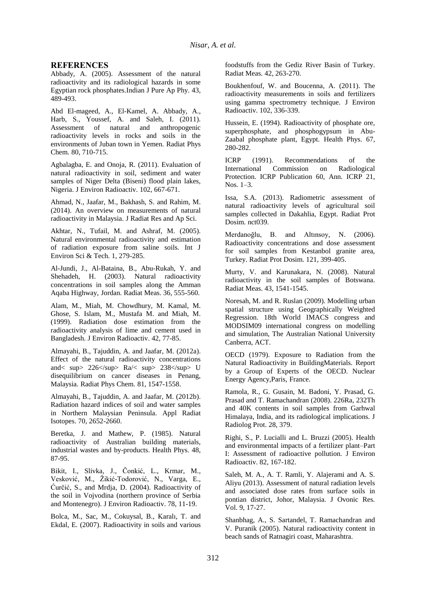#### **REFERENCES**

<span id="page-7-1"></span>Abbady, A. (2005). Assessment of the natural radioactivity and its radiological hazards in some Egyptian rock phosphates.Indian J Pure Ap Phy. 43, 489-493.

<span id="page-7-0"></span>Abd El-mageed, A., El-Kamel, A. Abbady, A., Harb, S., Youssef, A. and Saleh, I. (2011). Assessment of natural and anthropogenic radioactivity levels in rocks and soils in the environments of Juban town in Yemen. Radiat Phys Chem. 80, 710-715.

<span id="page-7-2"></span>Agbalagba, E. and Onoja, R. (2011). Evaluation of natural radioactivity in soil, sediment and water samples of Niger Delta (Biseni) flood plain lakes, Nigeria. J Environ Radioactiv. 102, 667-671.

<span id="page-7-13"></span>Ahmad, N., Jaafar, M., Bakhash, S. and Rahim, M. (2014). An overview on measurements of natural radioactivity in Malaysia. J Radiat Res and Ap Sci.

<span id="page-7-10"></span>Akhtar, N., Tufail, M. and Ashraf, M. (2005). Natural environmental radioactivity and estimation of radiation exposure from saline soils. Int J Environ Sci & Tech. 1, 279-285.

<span id="page-7-17"></span>Al-Jundi, J., Al-Bataina, B., Abu-Rukah, Y. and Shehadeh, H. (2003). Natural radioactivity concentrations in soil samples along the Amman Aqaba Highway, Jordan. Radiat Meas. 36, 555-560.

<span id="page-7-3"></span>Alam, M., Miah, M. Chowdhury, M. Kamal, M. Ghose, S. Islam, M., Mustafa M. and Miah, M. (1999). Radiation dose estimation from the radioactivity analysis of lime and cement used in Bangladesh. J Environ Radioactiv. 42, 77-85.

<span id="page-7-4"></span>Almayahi, B., Tajuddin, A. and Jaafar, M. (2012a). Effect of the natural radioactivity concentrations and< sup> 226</sup> Ra/< sup> 238</sup> U disequilibrium on cancer diseases in Penang, Malaysia. Radiat Phys Chem. 81, 1547-1558.

<span id="page-7-18"></span>Almayahi, B., Tajuddin, A. and Jaafar, M. (2012b). Radiation hazard indices of soil and water samples in Northern Malaysian Peninsula. Appl Radiat Isotopes. 70, 2652-2660.

<span id="page-7-6"></span>Beretka, J. and Mathew, P. (1985). Natural radioactivity of Australian building materials, industrial wastes and by-products. Health Phys. 48, 87-95.

<span id="page-7-15"></span>Bikit, I., Slivka, J., Čonkić, L., Krmar, M., Vesković, M., Žikić-Todorović, N., Varga, E., Ćurčić, S., and Mrdja, D. (2004). Radioactivity of the soil in Vojvodina (northern province of Serbia and Montenegro). J Environ Radioactiv. 78, 11-19.

<span id="page-7-8"></span>Bolca, M., Sac, M., Cokuysal, B., Karalı, T. and Ekdal, E. (2007). Radioactivity in soils and various foodstuffs from the Gediz River Basin of Turkey. Radiat Meas. 42, 263-270.

<span id="page-7-5"></span>Boukhenfouf, W. and Boucenna, A. (2011). The radioactivity measurements in soils and fertilizers using gamma spectrometry technique. J Environ Radioactiv. 102, 336-339.

<span id="page-7-7"></span>Hussein, E. (1994). Radioactivity of phosphate ore, superphosphate, and phosphogypsum in Abu-Zaabal phosphate plant, Egypt. Health Phys. 67, 280-282.

<span id="page-7-11"></span>ICRP (1991). Recommendations of the International Commission on Radiological Protection. ICRP Publication 60, Ann. ICRP 21, Nos. 1–3.

<span id="page-7-16"></span>Issa, S.A. (2013). Radiometric assessment of natural radioactivity levels of agricultural soil samples collected in Dakahlia, Egypt. Radiat Prot Dosim. nct039.

<span id="page-7-9"></span>Merdanoğlu, B. and Altınsoy, N. (2006). Radioactivity concentrations and dose assessment for soil samples from Kestanbol granite area, Turkey. Radiat Prot Dosim. 121, 399-405.

<span id="page-7-12"></span>Murty, V. and Karunakara, N. (2008). Natural radioactivity in the soil samples of Botswana. Radiat Meas. 43, 1541-1545.

Noresah, M. and R. Ruslan (2009). Modelling urban spatial structure using Geographically Weighted Regression. 18th World IMACS congress and MODSIM09 international congress on modelling and simulation, The Australian National University Canberra, ACT.

OECD (1979). Exposure to Radiation from the Natural Radioactivity in BuildingMaterials. Report by a Group of Experts of the OECD. Nuclear Energy Agency,Paris, France.

Ramola, R., G. Gusain, M. Badoni, Y. Prasad, G. Prasad and T. Ramachandran (2008). 226Ra, 232Th and 40K contents in soil samples from Garhwal Himalaya, India, and its radiological implications. J Radiolog Prot. 28, 379.

Righi, S., P. Lucialli and L. Bruzzi (2005). Health and environmental impacts of a fertilizer plant–Part I: Assessment of radioactive pollution. J Environ Radioactiv. 82, 167-182.

<span id="page-7-14"></span>Saleh, M. A., A. T. Ramli, Y. Alajerami and A. S. Aliyu (2013). Assessment of natural radiation levels and associated dose rates from surface soils in pontian district, Johor, Malaysia. J Ovonic Res. Vol. 9, 17-27.

Shanbhag, A., S. Sartandel, T. Ramachandran and V. Puranik (2005). Natural radioactivity content in beach sands of Ratnagiri coast, Maharashtra.